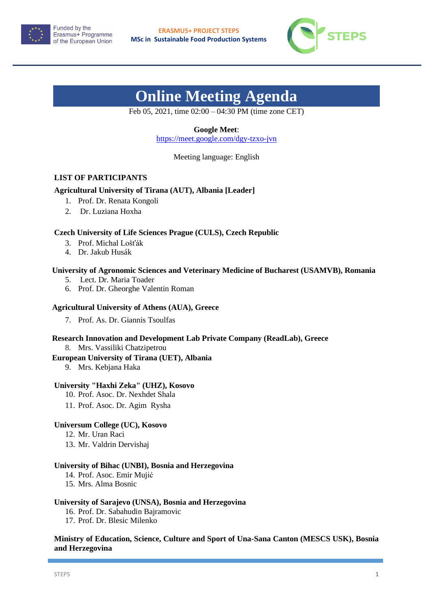



# **Online Meeting Agenda**

Feb 05, 2021, time 02:00 – 04:30 PM (time zone CET)

# **Google Meet**:

<https://meet.google.com/dgy-tzxo-jvn>

Meeting language: English

# **LIST OF PARTICIPANTS**

# **Agricultural University of Tirana (AUT), Albania [Leader]**

- 1. Prof. Dr. Renata Kongoli
- 2. Dr. Luziana Hoxha

## **Czech University of Life Sciences Prague (CULS), Czech Republic**

- 3. Prof. Michal Lošťák
- 4. Dr. Jakub Husák

## **University of Agronomic Sciences and Veterinary Medicine of Bucharest (USAMVB), Romania**

- 5. Lect. Dr. Maria Toader
- 6. Prof. Dr. Gheorghe Valentin Roman

### **Agricultural University of Athens (AUA), Greece**

7. Prof. As. Dr. Giannis Tsoulfas

# **Research Innovation and Development Lab Private Company (ReadLab), Greece**

8. Mrs. Vassiliki Chatzipetrou

#### **European University of Tirana (UET), Albania**

9. Mrs. Kebjana Haka

## **University "Haxhi Zeka" (UHZ), Kosovo**

- 10. Prof. Asoc. Dr. Nexhdet Shala
- 11. Prof. Asoc. Dr. Agim Rysha

#### **Universum College (UC), Kosovo**

- 12. Mr. Uran Raci
- 13. Mr. Valdrin Dervishaj

#### **University of Bihac (UNBI), Bosnia and Herzegovina**

- 14. Prof. Asoc. Emir Mujić
- 15. Mrs. Alma Bosnic

## **University of Sarajevo (UNSA), Bosnia and Herzegovina**

- 16. Prof. Dr. Sabahudin Bajramovic
- 17. Prof. Dr. Blesic Milenko

# **Ministry of Education, Science, Culture and Sport of Una-Sana Canton (MESCS USK), Bosnia and Herzegovina**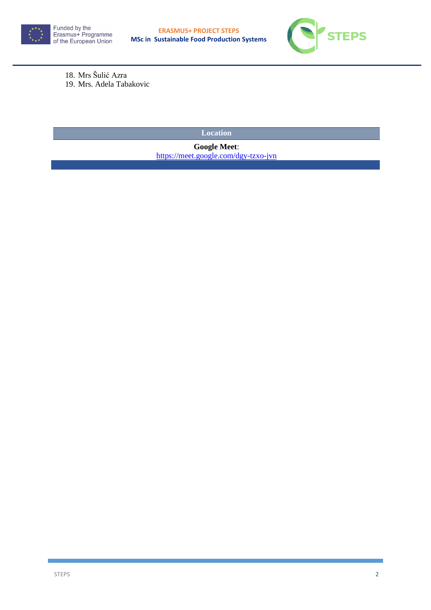



18. Mrs Šulić Azra 19. Mrs. Adela Tabakovic

**Location** 

**Google Meet**: <https://meet.google.com/dgy-tzxo-jvn>